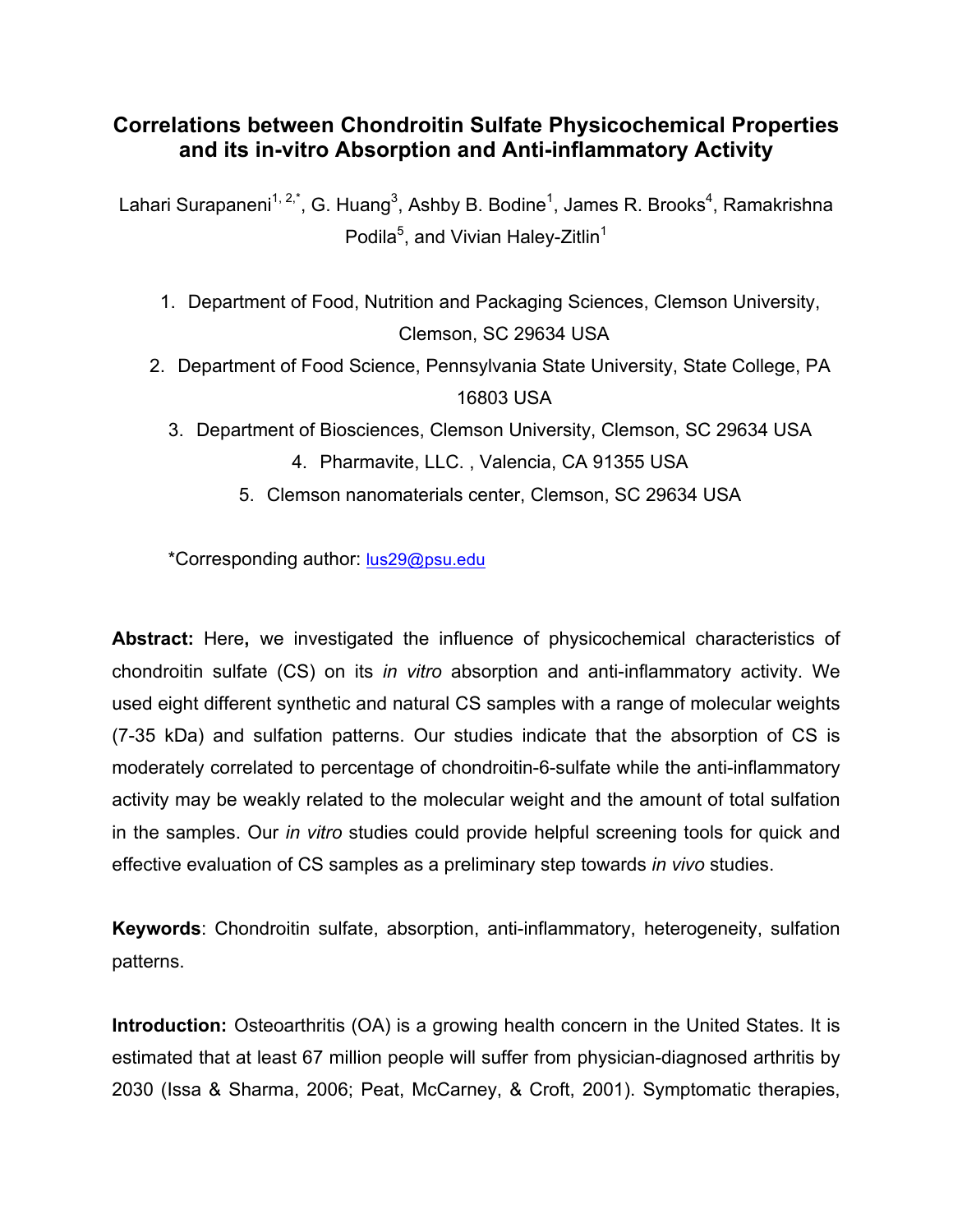## **Correlations between Chondroitin Sulfate Physicochemical Properties and its in-vitro Absorption and Anti-inflammatory Activity**

Lahari Surapaneni<sup>1, 2,\*</sup>, G. Huang<sup>3</sup>, Ashby B. Bodine<sup>1</sup>, James R. Brooks<sup>4</sup>, Ramakrishna Podila<sup>5</sup>, and Vivian Haley-Zitlin<sup>1</sup>

- 1. Department of Food, Nutrition and Packaging Sciences, Clemson University, Clemson, SC 29634 USA
- 2. Department of Food Science, Pennsylvania State University, State College, PA 16803 USA
	- 3. Department of Biosciences, Clemson University, Clemson, SC 29634 USA
		- 4. Pharmavite, LLC. , Valencia, CA 91355 USA
		- 5. Clemson nanomaterials center, Clemson, SC 29634 USA

\*Corresponding author: lus29@psu.edu

**Abstract:** Here**,** we investigated the influence of physicochemical characteristics of chondroitin sulfate (CS) on its *in vitro* absorption and anti-inflammatory activity. We used eight different synthetic and natural CS samples with a range of molecular weights (7-35 kDa) and sulfation patterns. Our studies indicate that the absorption of CS is moderately correlated to percentage of chondroitin-6-sulfate while the anti-inflammatory activity may be weakly related to the molecular weight and the amount of total sulfation in the samples. Our *in vitro* studies could provide helpful screening tools for quick and effective evaluation of CS samples as a preliminary step towards *in vivo* studies.

**Keywords**: Chondroitin sulfate, absorption, anti-inflammatory, heterogeneity, sulfation patterns.

**Introduction:** Osteoarthritis (OA) is a growing health concern in the United States. It is estimated that at least 67 million people will suffer from physician-diagnosed arthritis by 2030 (Issa & Sharma, 2006; Peat, McCarney, & Croft, 2001). Symptomatic therapies,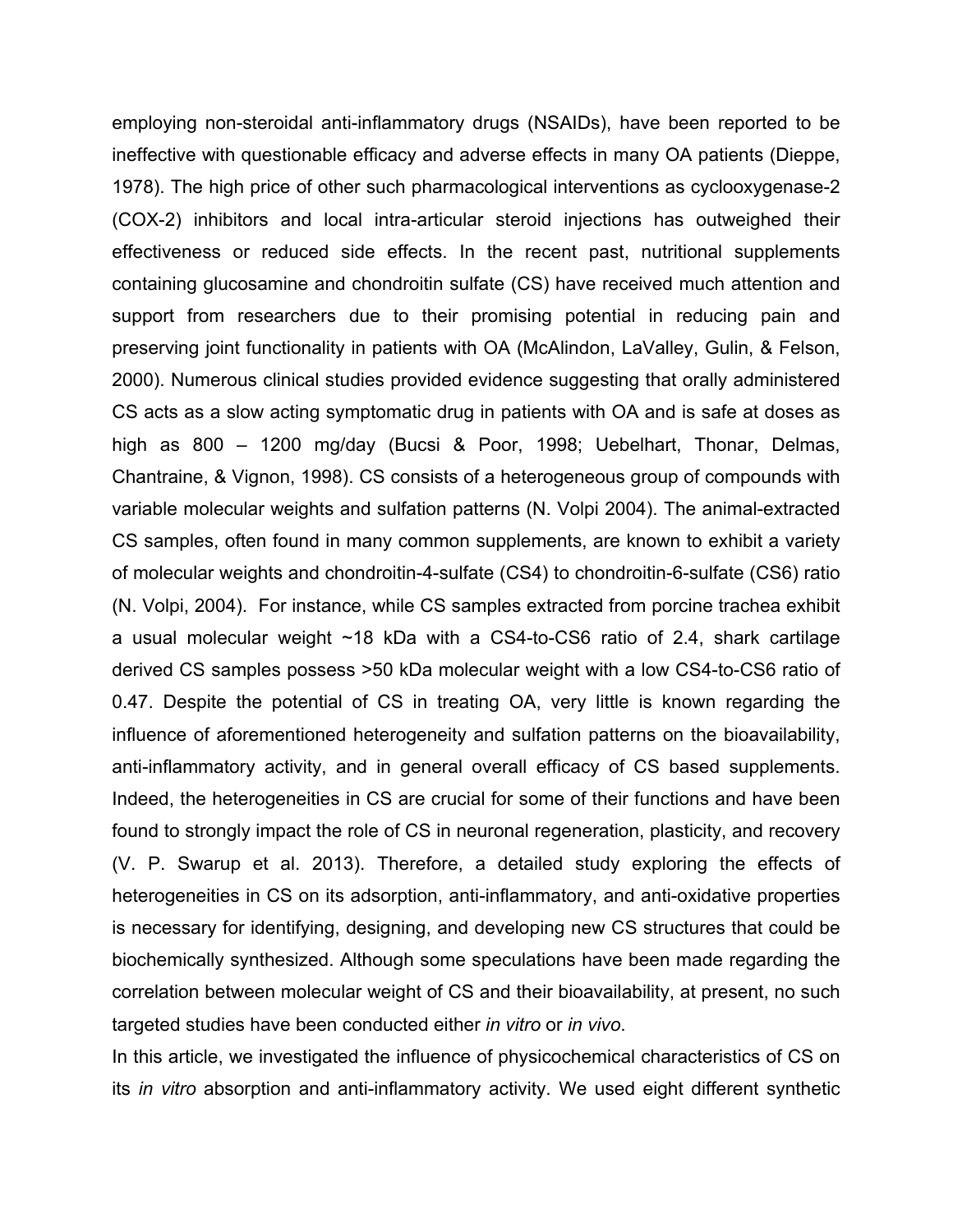employing non-steroidal anti-inflammatory drugs (NSAIDs), have been reported to be ineffective with questionable efficacy and adverse effects in many OA patients (Dieppe, 1978). The high price of other such pharmacological interventions as cyclooxygenase-2 (COX-2) inhibitors and local intra-articular steroid injections has outweighed their effectiveness or reduced side effects. In the recent past, nutritional supplements containing glucosamine and chondroitin sulfate (CS) have received much attention and support from researchers due to their promising potential in reducing pain and preserving joint functionality in patients with OA (McAlindon, LaValley, Gulin, & Felson, 2000). Numerous clinical studies provided evidence suggesting that orally administered CS acts as a slow acting symptomatic drug in patients with OA and is safe at doses as high as 800 – 1200 mg/day (Bucsi & Poor, 1998; Uebelhart, Thonar, Delmas, Chantraine, & Vignon, 1998). CS consists of a heterogeneous group of compounds with variable molecular weights and sulfation patterns (N. Volpi 2004). The animal-extracted CS samples, often found in many common supplements, are known to exhibit a variety of molecular weights and chondroitin-4-sulfate (CS4) to chondroitin-6-sulfate (CS6) ratio (N. Volpi, 2004). For instance, while CS samples extracted from porcine trachea exhibit a usual molecular weight ~18 kDa with a CS4-to-CS6 ratio of 2.4, shark cartilage derived CS samples possess >50 kDa molecular weight with a low CS4-to-CS6 ratio of 0.47. Despite the potential of CS in treating OA, very little is known regarding the influence of aforementioned heterogeneity and sulfation patterns on the bioavailability, anti-inflammatory activity, and in general overall efficacy of CS based supplements. Indeed, the heterogeneities in CS are crucial for some of their functions and have been found to strongly impact the role of CS in neuronal regeneration, plasticity, and recovery (V. P. Swarup et al. 2013). Therefore, a detailed study exploring the effects of heterogeneities in CS on its adsorption, anti-inflammatory, and anti-oxidative properties is necessary for identifying, designing, and developing new CS structures that could be biochemically synthesized. Although some speculations have been made regarding the correlation between molecular weight of CS and their bioavailability, at present, no such targeted studies have been conducted either *in vitro* or *in vivo*.

In this article, we investigated the influence of physicochemical characteristics of CS on its *in vitro* absorption and anti-inflammatory activity. We used eight different synthetic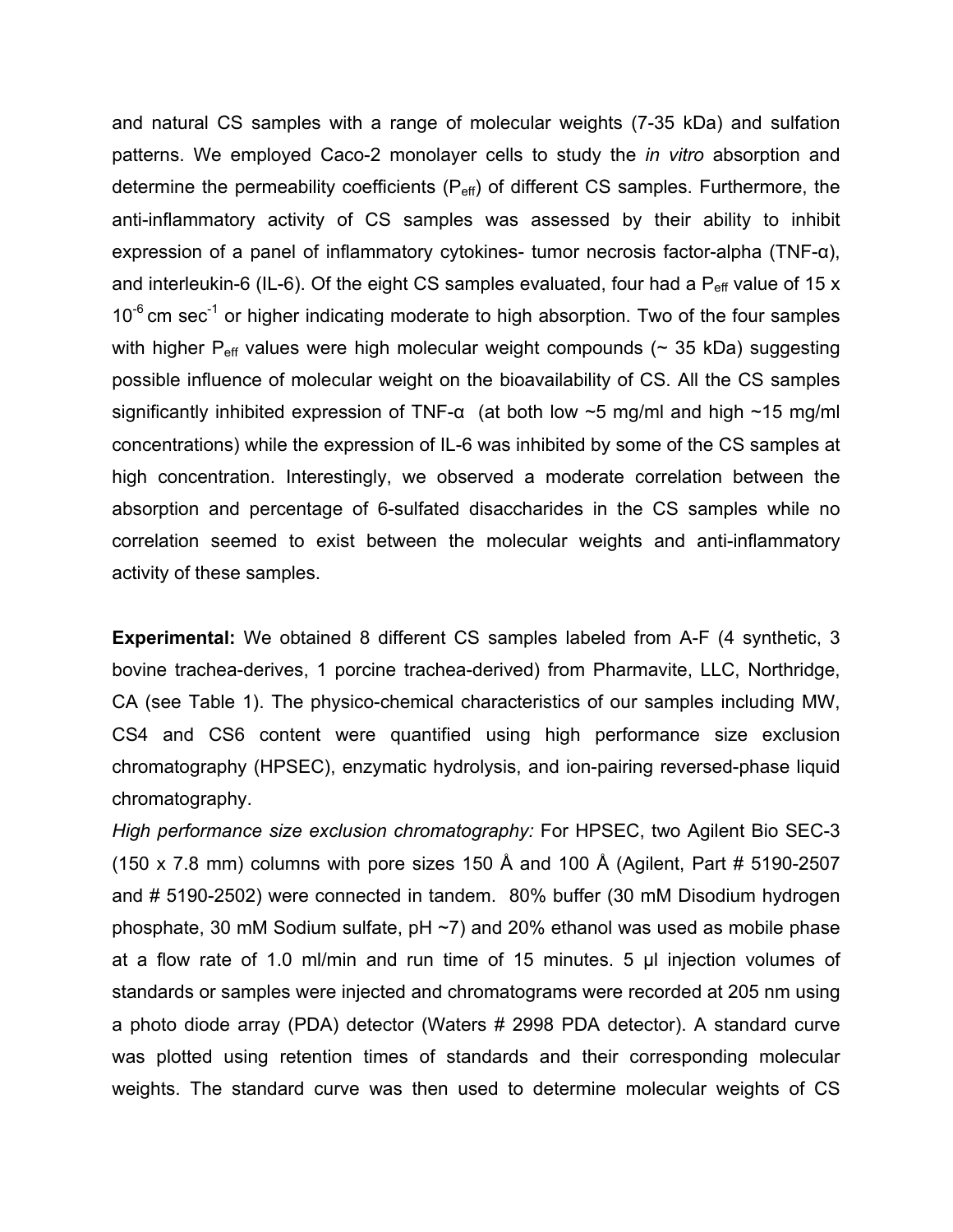and natural CS samples with a range of molecular weights (7-35 kDa) and sulfation patterns. We employed Caco-2 monolayer cells to study the *in vitro* absorption and determine the permeability coefficients ( $P_{\text{eff}}$ ) of different CS samples. Furthermore, the anti-inflammatory activity of CS samples was assessed by their ability to inhibit expression of a panel of inflammatory cytokines- tumor necrosis factor-alpha (TNF-α), and interleukin-6 (IL-6). Of the eight CS samples evaluated, four had a  $P_{\text{eff}}$  value of 15 x  $10^{-6}$  cm sec<sup>-1</sup> or higher indicating moderate to high absorption. Two of the four samples with higher  $P_{\text{eff}}$  values were high molecular weight compounds ( $\sim$  35 kDa) suggesting possible influence of molecular weight on the bioavailability of CS. All the CS samples significantly inhibited expression of TNF- $\alpha$  (at both low  $\sim$ 5 mg/ml and high  $\sim$ 15 mg/ml concentrations) while the expression of IL-6 was inhibited by some of the CS samples at high concentration. Interestingly, we observed a moderate correlation between the absorption and percentage of 6-sulfated disaccharides in the CS samples while no correlation seemed to exist between the molecular weights and anti-inflammatory activity of these samples.

**Experimental:** We obtained 8 different CS samples labeled from A-F (4 synthetic, 3 bovine trachea-derives, 1 porcine trachea-derived) from Pharmavite, LLC, Northridge, CA (see Table 1). The physico-chemical characteristics of our samples including MW, CS4 and CS6 content were quantified using high performance size exclusion chromatography (HPSEC), enzymatic hydrolysis, and ion-pairing reversed-phase liquid chromatography.

*High performance size exclusion chromatography:* For HPSEC, two Agilent Bio SEC-3 (150 x 7.8 mm) columns with pore sizes 150 Å and 100 Å (Agilent, Part # 5190-2507 and # 5190-2502) were connected in tandem. 80% buffer (30 mM Disodium hydrogen phosphate, 30 mM Sodium sulfate,  $pH \sim 7$ ) and 20% ethanol was used as mobile phase at a flow rate of 1.0 ml/min and run time of 15 minutes. 5 µl injection volumes of standards or samples were injected and chromatograms were recorded at 205 nm using a photo diode array (PDA) detector (Waters # 2998 PDA detector). A standard curve was plotted using retention times of standards and their corresponding molecular weights. The standard curve was then used to determine molecular weights of CS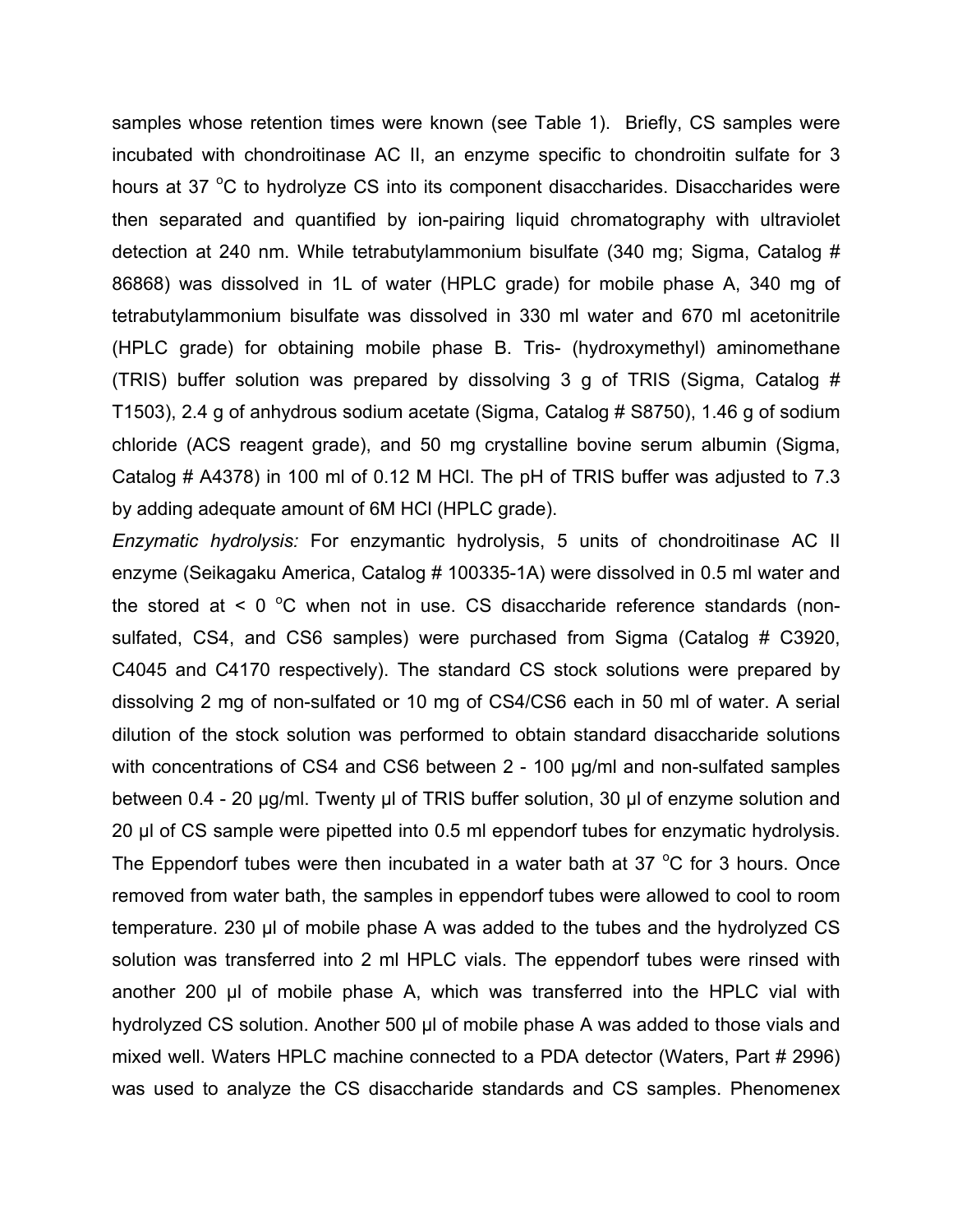samples whose retention times were known (see Table 1). Briefly, CS samples were incubated with chondroitinase AC II, an enzyme specific to chondroitin sulfate for 3 hours at 37 °C to hydrolyze CS into its component disaccharides. Disaccharides were then separated and quantified by ion-pairing liquid chromatography with ultraviolet detection at 240 nm. While tetrabutylammonium bisulfate (340 mg; Sigma, Catalog # 86868) was dissolved in 1L of water (HPLC grade) for mobile phase A, 340 mg of tetrabutylammonium bisulfate was dissolved in 330 ml water and 670 ml acetonitrile (HPLC grade) for obtaining mobile phase B. Tris- (hydroxymethyl) aminomethane (TRIS) buffer solution was prepared by dissolving 3 g of TRIS (Sigma, Catalog # T1503), 2.4 g of anhydrous sodium acetate (Sigma, Catalog # S8750), 1.46 g of sodium chloride (ACS reagent grade), and 50 mg crystalline bovine serum albumin (Sigma, Catalog # A4378) in 100 ml of 0.12 M HCl. The pH of TRIS buffer was adjusted to 7.3 by adding adequate amount of 6M HCl (HPLC grade).

*Enzymatic hydrolysis:* For enzymantic hydrolysis, 5 units of chondroitinase AC II enzyme (Seikagaku America, Catalog # 100335-1A) were dissolved in 0.5 ml water and the stored at  $\leq 0$  °C when not in use. CS disaccharide reference standards (nonsulfated, CS4, and CS6 samples) were purchased from Sigma (Catalog # C3920, C4045 and C4170 respectively). The standard CS stock solutions were prepared by dissolving 2 mg of non-sulfated or 10 mg of CS4/CS6 each in 50 ml of water. A serial dilution of the stock solution was performed to obtain standard disaccharide solutions with concentrations of CS4 and CS6 between 2 - 100 µg/ml and non-sulfated samples between 0.4 - 20 µg/ml. Twenty µl of TRIS buffer solution, 30 µl of enzyme solution and 20 µl of CS sample were pipetted into 0.5 ml eppendorf tubes for enzymatic hydrolysis. The Eppendorf tubes were then incubated in a water bath at 37  $\mathrm{^{\circ}C}$  for 3 hours. Once removed from water bath, the samples in eppendorf tubes were allowed to cool to room temperature. 230 µl of mobile phase A was added to the tubes and the hydrolyzed CS solution was transferred into 2 ml HPLC vials. The eppendorf tubes were rinsed with another 200 µl of mobile phase A, which was transferred into the HPLC vial with hydrolyzed CS solution. Another 500 µl of mobile phase A was added to those vials and mixed well. Waters HPLC machine connected to a PDA detector (Waters, Part # 2996) was used to analyze the CS disaccharide standards and CS samples. Phenomenex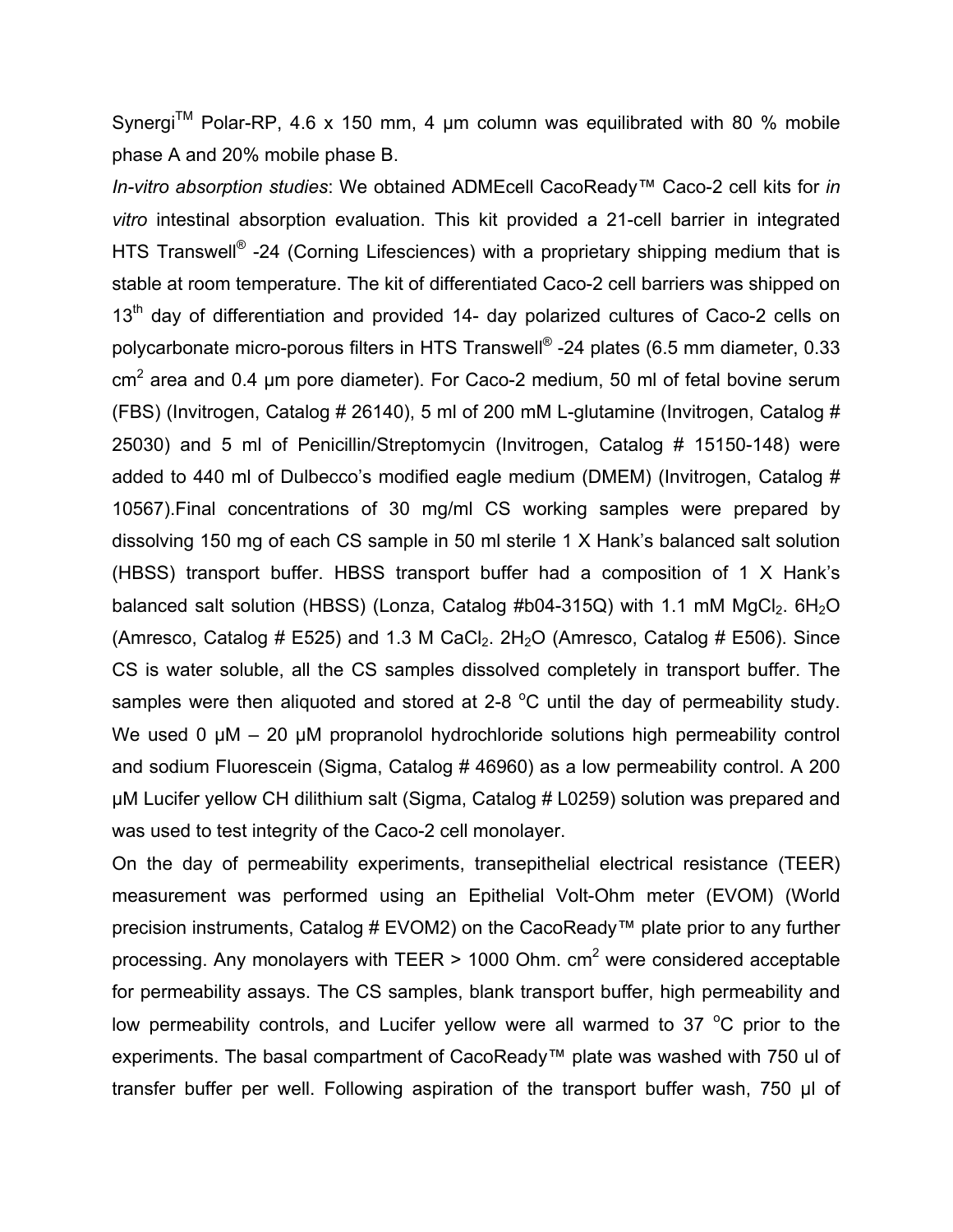Synergi<sup>TM</sup> Polar-RP, 4.6 x 150 mm, 4 um column was equilibrated with 80 % mobile phase A and 20% mobile phase B.

*In-vitro absorption studies*: We obtained ADMEcell CacoReady™ Caco-2 cell kits for *in vitro* intestinal absorption evaluation. This kit provided a 21-cell barrier in integrated HTS Transwell<sup>®</sup> -24 (Corning Lifesciences) with a proprietary shipping medium that is stable at room temperature. The kit of differentiated Caco-2 cell barriers was shipped on 13<sup>th</sup> day of differentiation and provided 14- day polarized cultures of Caco-2 cells on polycarbonate micro-porous filters in HTS Transwell® -24 plates (6.5 mm diameter, 0.33  $cm<sup>2</sup>$  area and 0.4 µm pore diameter). For Caco-2 medium, 50 ml of fetal bovine serum (FBS) (Invitrogen, Catalog # 26140), 5 ml of 200 mM L-glutamine (Invitrogen, Catalog # 25030) and 5 ml of Penicillin/Streptomycin (Invitrogen, Catalog # 15150-148) were added to 440 ml of Dulbecco's modified eagle medium (DMEM) (Invitrogen, Catalog # 10567).Final concentrations of 30 mg/ml CS working samples were prepared by dissolving 150 mg of each CS sample in 50 ml sterile 1 X Hank's balanced salt solution (HBSS) transport buffer. HBSS transport buffer had a composition of 1 X Hank's balanced salt solution (HBSS) (Lonza, Catalog #b04-315Q) with 1.1 mM  $MgCl<sub>2</sub>$ . 6H<sub>2</sub>O (Amresco, Catalog # E525) and 1.3 M CaCl<sub>2</sub>.  $2H_2O$  (Amresco, Catalog # E506). Since CS is water soluble, all the CS samples dissolved completely in transport buffer. The samples were then aliquoted and stored at 2-8  $^{\circ}$ C until the day of permeability study. We used 0  $\mu$ M – 20  $\mu$ M propranolol hydrochloride solutions high permeability control and sodium Fluorescein (Sigma, Catalog # 46960) as a low permeability control. A 200 µM Lucifer yellow CH dilithium salt (Sigma, Catalog # L0259) solution was prepared and was used to test integrity of the Caco-2 cell monolayer.

On the day of permeability experiments, transepithelial electrical resistance (TEER) measurement was performed using an Epithelial Volt-Ohm meter (EVOM) (World precision instruments, Catalog # EVOM2) on the CacoReady™ plate prior to any further processing. Any monolayers with TEER  $> 1000$  Ohm. cm<sup>2</sup> were considered acceptable for permeability assays. The CS samples, blank transport buffer, high permeability and low permeability controls, and Lucifer yellow were all warmed to 37 °C prior to the experiments. The basal compartment of CacoReady™ plate was washed with 750 ul of transfer buffer per well. Following aspiration of the transport buffer wash, 750 µl of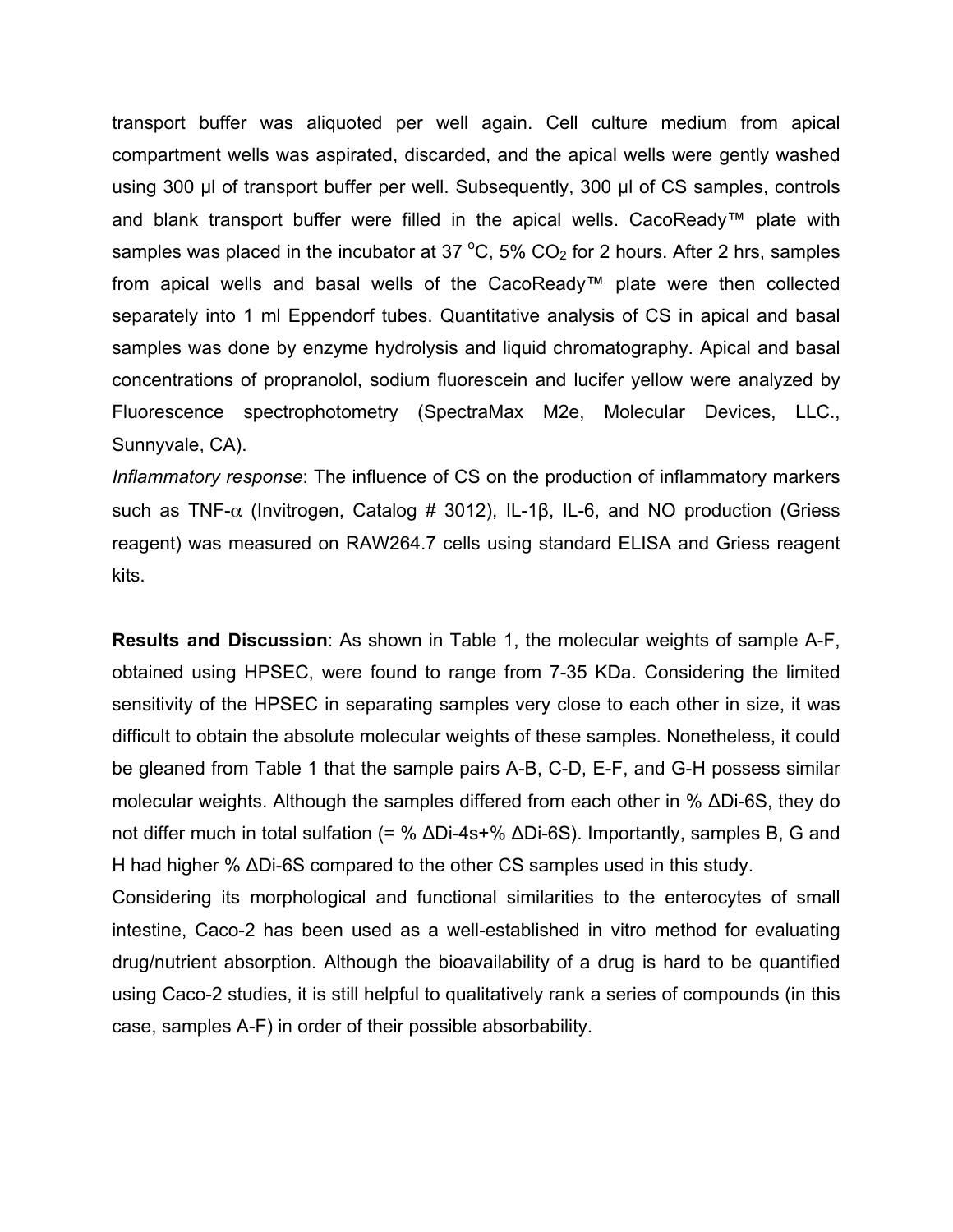transport buffer was aliquoted per well again. Cell culture medium from apical compartment wells was aspirated, discarded, and the apical wells were gently washed using 300 µl of transport buffer per well. Subsequently, 300 µl of CS samples, controls and blank transport buffer were filled in the apical wells. CacoReady™ plate with samples was placed in the incubator at 37  $^{\circ}$ C, 5% CO<sub>2</sub> for 2 hours. After 2 hrs, samples from apical wells and basal wells of the CacoReady™ plate were then collected separately into 1 ml Eppendorf tubes. Quantitative analysis of CS in apical and basal samples was done by enzyme hydrolysis and liquid chromatography. Apical and basal concentrations of propranolol, sodium fluorescein and lucifer yellow were analyzed by Fluorescence spectrophotometry (SpectraMax M2e, Molecular Devices, LLC., Sunnyvale, CA).

*Inflammatory response*: The influence of CS on the production of inflammatory markers such as TNF- $\alpha$  (Invitrogen, Catalog # 3012), IL-1 $\beta$ , IL-6, and NO production (Griess reagent) was measured on RAW264.7 cells using standard ELISA and Griess reagent kits.

**Results and Discussion**: As shown in Table 1, the molecular weights of sample A-F, obtained using HPSEC, were found to range from 7-35 KDa. Considering the limited sensitivity of the HPSEC in separating samples very close to each other in size, it was difficult to obtain the absolute molecular weights of these samples. Nonetheless, it could be gleaned from Table 1 that the sample pairs A-B, C-D, E-F, and G-H possess similar molecular weights. Although the samples differed from each other in % ΔDi-6S, they do not differ much in total sulfation (= %  $\Delta$ Di-4s+%  $\Delta$ Di-6S). Importantly, samples B, G and H had higher % ΔDi-6S compared to the other CS samples used in this study.

Considering its morphological and functional similarities to the enterocytes of small intestine, Caco-2 has been used as a well-established in vitro method for evaluating drug/nutrient absorption. Although the bioavailability of a drug is hard to be quantified using Caco-2 studies, it is still helpful to qualitatively rank a series of compounds (in this case, samples A-F) in order of their possible absorbability.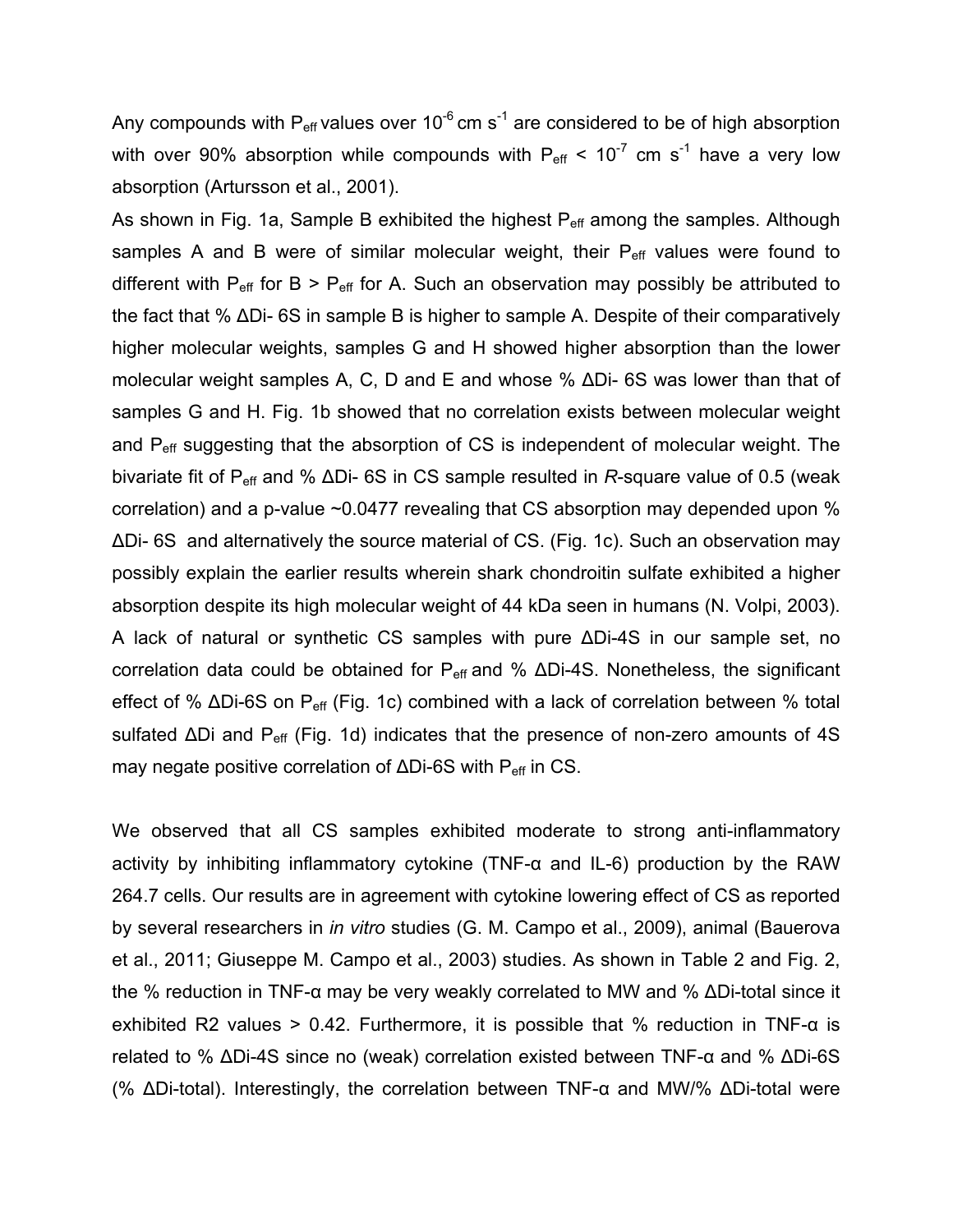Any compounds with  $P_{\text{eff}}$  values over 10<sup>-6</sup> cm s<sup>-1</sup> are considered to be of high absorption with over 90% absorption while compounds with  $P_{\text{eff}}$  < 10<sup>-7</sup> cm s<sup>-1</sup> have a very low absorption (Artursson et al., 2001).

As shown in Fig. 1a, Sample B exhibited the highest  $P_{\text{eff}}$  among the samples. Although samples A and B were of similar molecular weight, their  $P_{\text{eff}}$  values were found to different with  $P_{\text{eff}}$  for B >  $P_{\text{eff}}$  for A. Such an observation may possibly be attributed to the fact that % ΔDi- 6S in sample B is higher to sample A. Despite of their comparatively higher molecular weights, samples G and H showed higher absorption than the lower molecular weight samples A, C, D and E and whose % ΔDi- 6S was lower than that of samples G and H. Fig. 1b showed that no correlation exists between molecular weight and  $P_{\text{eff}}$  suggesting that the absorption of CS is independent of molecular weight. The bivariate fit of Peff and % ΔDi- 6S in CS sample resulted in *R*-square value of 0.5 (weak correlation) and a p-value ~0.0477 revealing that CS absorption may depended upon % ΔDi- 6S and alternatively the source material of CS. (Fig. 1c). Such an observation may possibly explain the earlier results wherein shark chondroitin sulfate exhibited a higher absorption despite its high molecular weight of 44 kDa seen in humans (N. Volpi, 2003). A lack of natural or synthetic CS samples with pure ΔDi-4S in our sample set, no correlation data could be obtained for  $P_{\text{eff}}$  and % ΔDi-4S. Nonetheless, the significant effect of % ΔDi-6S on  $P_{\text{eff}}$  (Fig. 1c) combined with a lack of correlation between % total sulfated ΔDi and P<sub>eff</sub> (Fig. 1d) indicates that the presence of non-zero amounts of 4S may negate positive correlation of  $\Delta$ Di-6S with P<sub>eff</sub> in CS.

We observed that all CS samples exhibited moderate to strong anti-inflammatory activity by inhibiting inflammatory cytokine (TNF-α and IL-6) production by the RAW 264.7 cells. Our results are in agreement with cytokine lowering effect of CS as reported by several researchers in *in vitro* studies (G. M. Campo et al., 2009), animal (Bauerova et al., 2011; Giuseppe M. Campo et al., 2003) studies. As shown in Table 2 and Fig. 2, the % reduction in TNF-α may be very weakly correlated to MW and % ΔDi-total since it exhibited R2 values > 0.42. Furthermore, it is possible that % reduction in TNF- $\alpha$  is related to % ΔDi-4S since no (weak) correlation existed between TNF-α and % ΔDi-6S (% ΔDi-total). Interestingly, the correlation between TNF-α and MW/% ΔDi-total were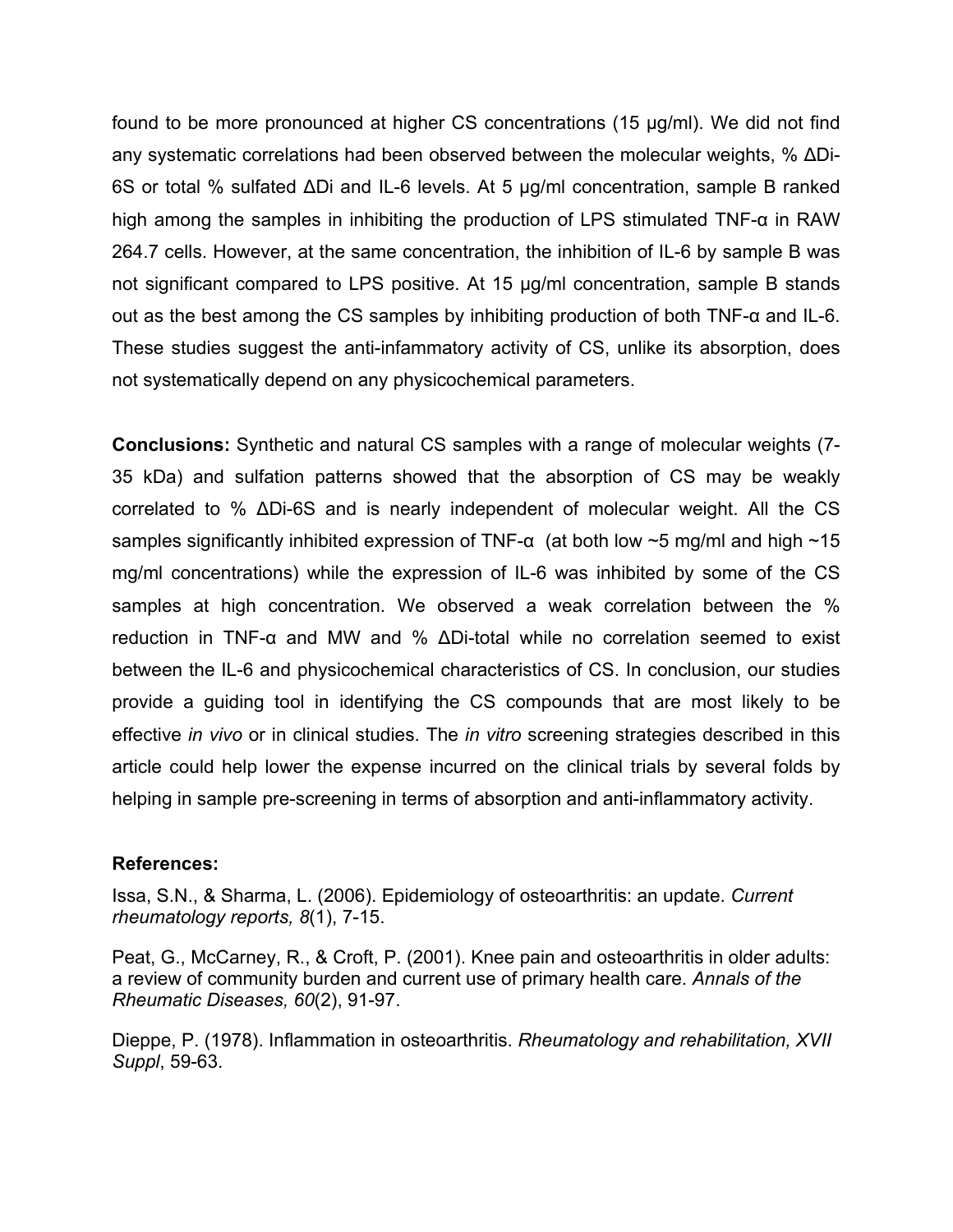found to be more pronounced at higher CS concentrations (15 µg/ml). We did not find any systematic correlations had been observed between the molecular weights, % ΔDi-6S or total % sulfated ΔDi and IL-6 levels. At 5 µg/ml concentration, sample B ranked high among the samples in inhibiting the production of LPS stimulated TNF-α in RAW 264.7 cells. However, at the same concentration, the inhibition of IL-6 by sample B was not significant compared to LPS positive. At 15 µg/ml concentration, sample B stands out as the best among the CS samples by inhibiting production of both TNF-α and IL-6. These studies suggest the anti-infammatory activity of CS, unlike its absorption, does not systematically depend on any physicochemical parameters.

**Conclusions:** Synthetic and natural CS samples with a range of molecular weights (7- 35 kDa) and sulfation patterns showed that the absorption of CS may be weakly correlated to % ΔDi-6S and is nearly independent of molecular weight. All the CS samples significantly inhibited expression of TNF- $\alpha$  (at both low  $\sim$ 5 mg/ml and high  $\sim$ 15 mg/ml concentrations) while the expression of IL-6 was inhibited by some of the CS samples at high concentration. We observed a weak correlation between the % reduction in TNF-α and MW and % ΔDi-total while no correlation seemed to exist between the IL-6 and physicochemical characteristics of CS. In conclusion, our studies provide a guiding tool in identifying the CS compounds that are most likely to be effective *in vivo* or in clinical studies. The *in vitro* screening strategies described in this article could help lower the expense incurred on the clinical trials by several folds by helping in sample pre-screening in terms of absorption and anti-inflammatory activity.

## **References:**

Issa, S.N., & Sharma, L. (2006). Epidemiology of osteoarthritis: an update. *Current rheumatology reports, 8*(1), 7-15.

Peat, G., McCarney, R., & Croft, P. (2001). Knee pain and osteoarthritis in older adults: a review of community burden and current use of primary health care. *Annals of the Rheumatic Diseases, 60*(2), 91-97.

Dieppe, P. (1978). Inflammation in osteoarthritis. *Rheumatology and rehabilitation, XVII Suppl*, 59-63.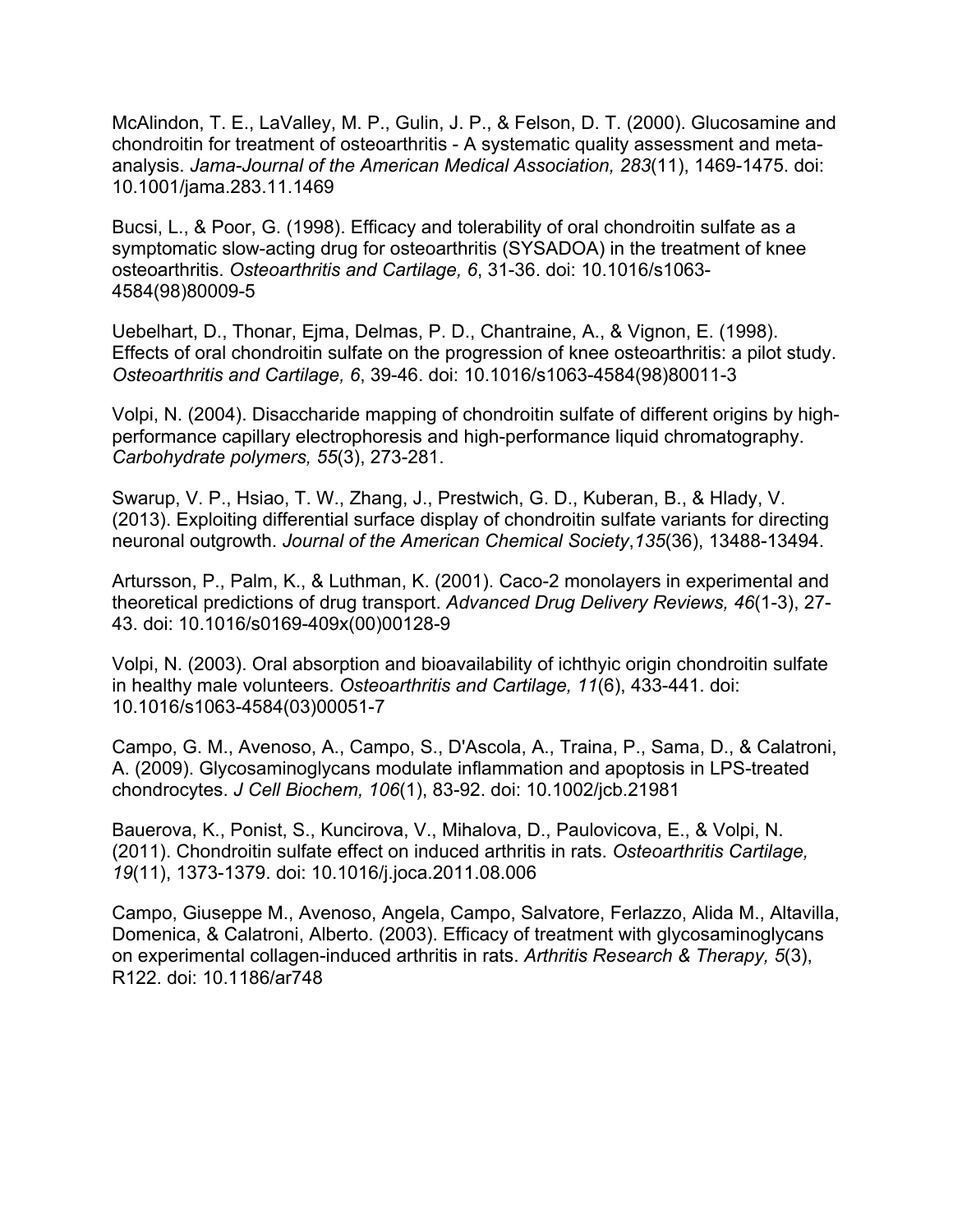McAlindon, T. E., LaValley, M. P., Gulin, J. P., & Felson, D. T. (2000). Glucosamine and chondroitin for treatment of osteoarthritis - A systematic quality assessment and metaanalysis. *Jama-Journal of the American Medical Association, 283*(11), 1469-1475. doi: 10.1001/jama.283.11.1469

Bucsi, L., & Poor, G. (1998). Efficacy and tolerability of oral chondroitin sulfate as a symptomatic slow-acting drug for osteoarthritis (SYSADOA) in the treatment of knee osteoarthritis. *Osteoarthritis and Cartilage, 6*, 31-36. doi: 10.1016/s1063- 4584(98)80009-5

Uebelhart, D., Thonar, Ejma, Delmas, P. D., Chantraine, A., & Vignon, E. (1998). Effects of oral chondroitin sulfate on the progression of knee osteoarthritis: a pilot study. *Osteoarthritis and Cartilage, 6*, 39-46. doi: 10.1016/s1063-4584(98)80011-3

Volpi, N. (2004). Disaccharide mapping of chondroitin sulfate of different origins by highperformance capillary electrophoresis and high-performance liquid chromatography. *Carbohydrate polymers, 55*(3), 273-281.

Swarup, V. P., Hsiao, T. W., Zhang, J., Prestwich, G. D., Kuberan, B., & Hlady, V. (2013). Exploiting differential surface display of chondroitin sulfate variants for directing neuronal outgrowth. *Journal of the American Chemical Society*,*135*(36), 13488-13494.

Artursson, P., Palm, K., & Luthman, K. (2001). Caco-2 monolayers in experimental and theoretical predictions of drug transport. *Advanced Drug Delivery Reviews, 46*(1-3), 27- 43. doi: 10.1016/s0169-409x(00)00128-9

Volpi, N. (2003). Oral absorption and bioavailability of ichthyic origin chondroitin sulfate in healthy male volunteers. *Osteoarthritis and Cartilage, 11*(6), 433-441. doi: 10.1016/s1063-4584(03)00051-7

Campo, G. M., Avenoso, A., Campo, S., D'Ascola, A., Traina, P., Sama, D., & Calatroni, A. (2009). Glycosaminoglycans modulate inflammation and apoptosis in LPS-treated chondrocytes. *J Cell Biochem, 106*(1), 83-92. doi: 10.1002/jcb.21981

Bauerova, K., Ponist, S., Kuncirova, V., Mihalova, D., Paulovicova, E., & Volpi, N. (2011). Chondroitin sulfate effect on induced arthritis in rats. *Osteoarthritis Cartilage, 19*(11), 1373-1379. doi: 10.1016/j.joca.2011.08.006

Campo, Giuseppe M., Avenoso, Angela, Campo, Salvatore, Ferlazzo, Alida M., Altavilla, Domenica, & Calatroni, Alberto. (2003). Efficacy of treatment with glycosaminoglycans on experimental collagen-induced arthritis in rats. *Arthritis Research & Therapy, 5*(3), R122. doi: 10.1186/ar748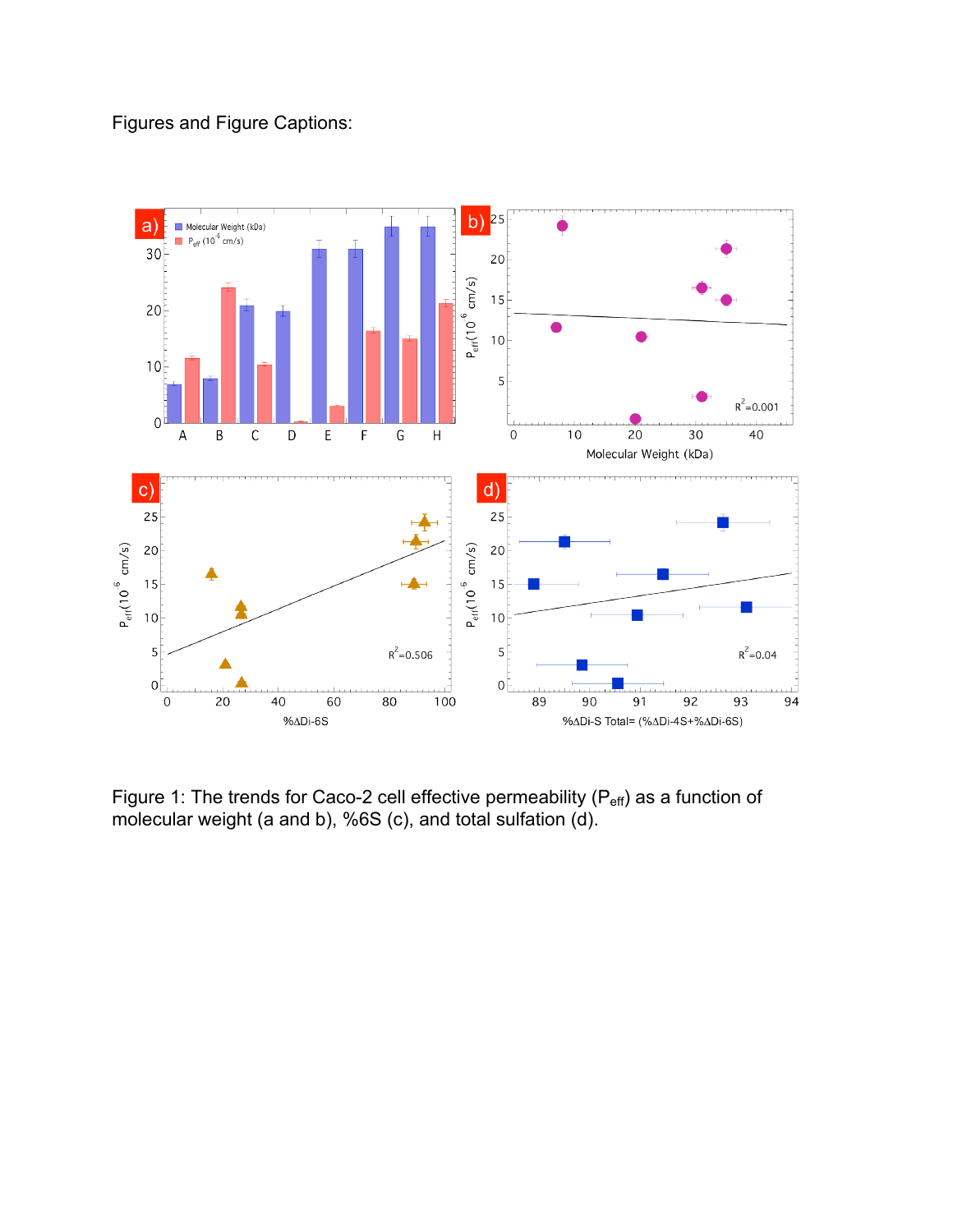## Figures and Figure Captions:



Figure 1: The trends for Caco-2 cell effective permeability ( $P_{\text{eff}}$ ) as a function of molecular weight (a and b), %6S (c), and total sulfation (d).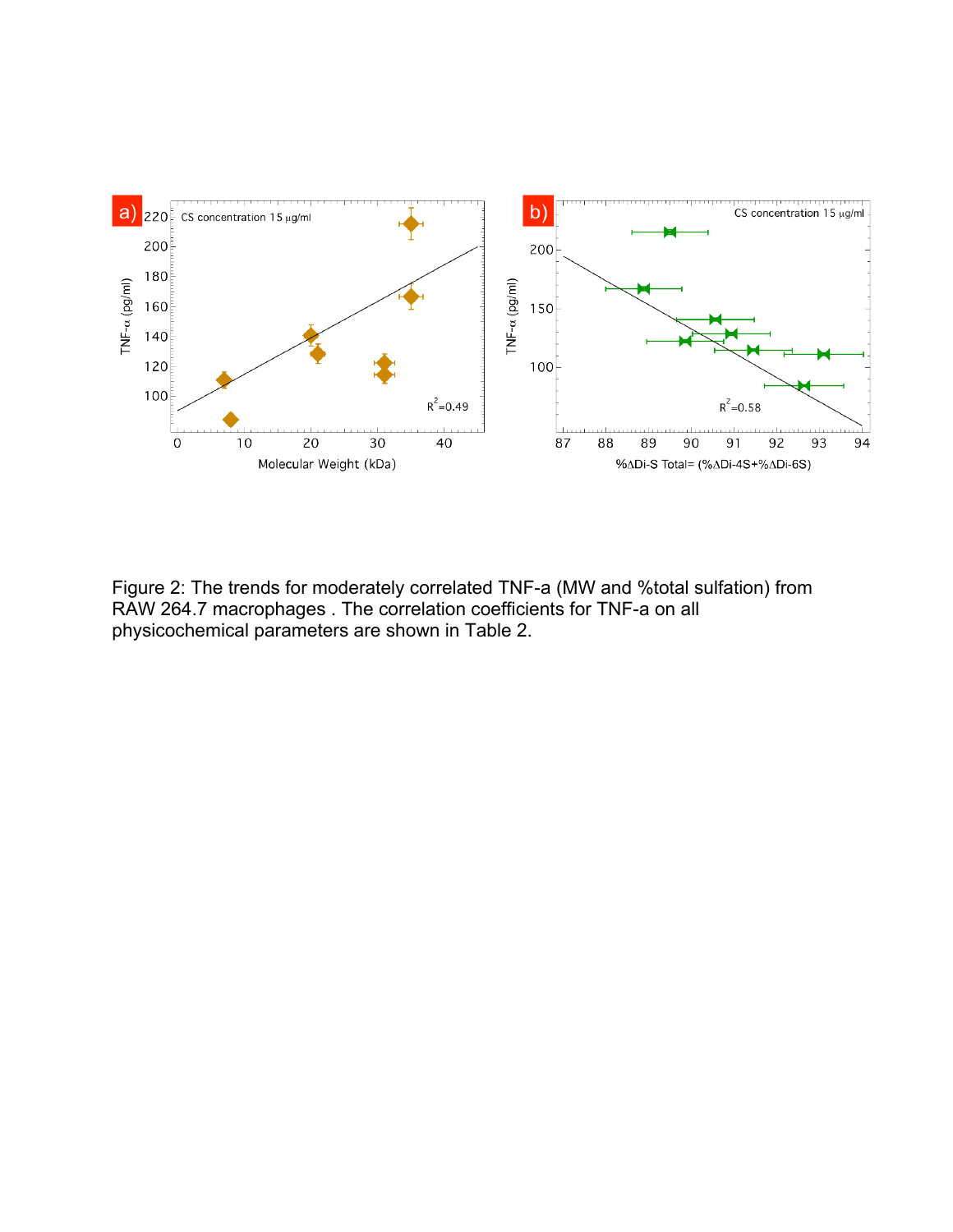

Figure 2: The trends for moderately correlated TNF-a (MW and %total sulfation) from RAW 264.7 macrophages . The correlation coefficients for TNF-a on all physicochemical parameters are shown in Table 2.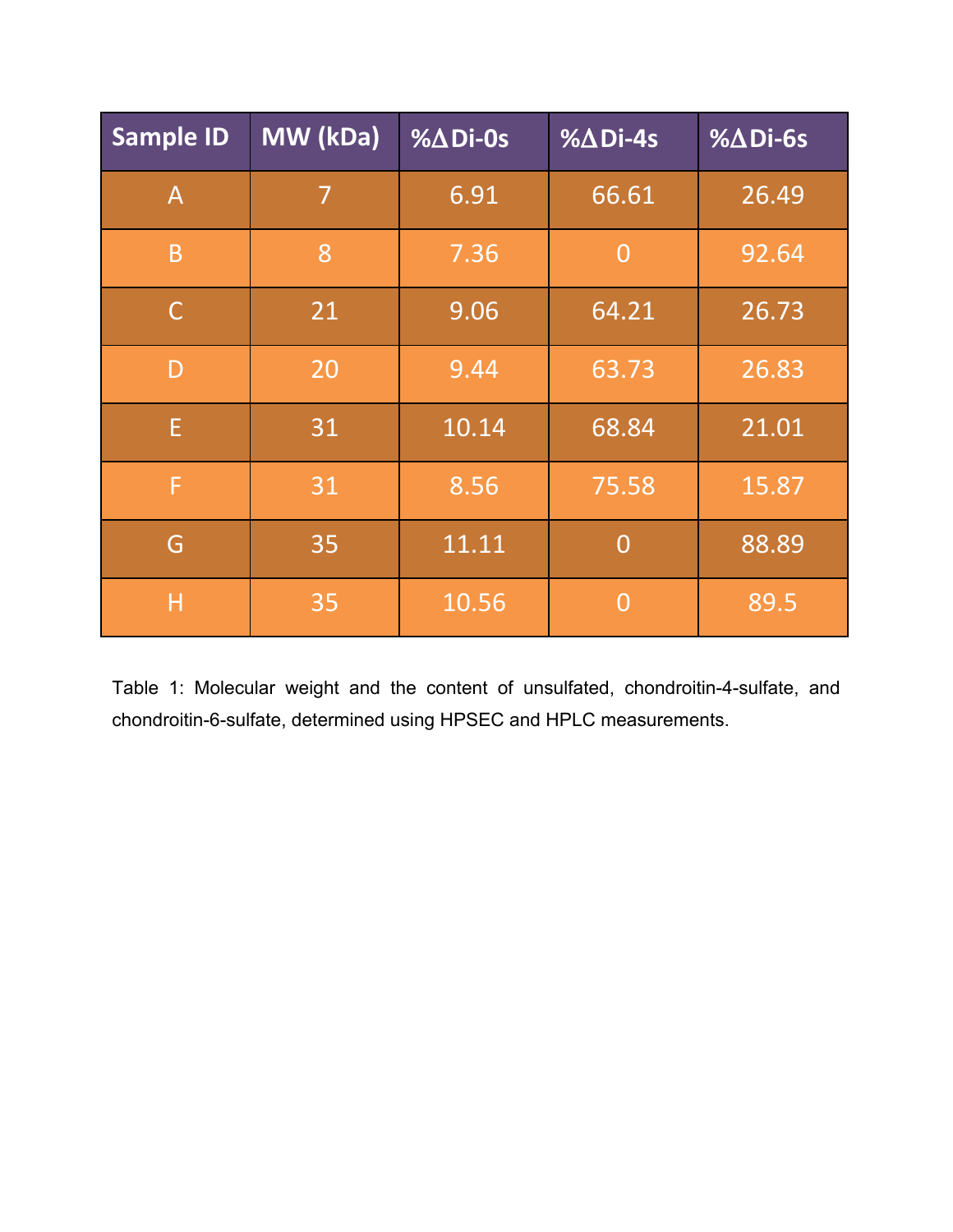| <b>Sample ID</b> | MW (kDa) | $%ADi-OS$               | $%$ $\triangle$ Di-4s | $%ADi-6s$ |
|------------------|----------|-------------------------|-----------------------|-----------|
| $\overline{A}$   | 7        | 6.91                    | 66.61                 | 26.49     |
| B                | 8        | 7.36<br>$\overline{0}$  |                       | 92.64     |
| $\mathsf{C}$     | 21       | 9.06                    | 64.21                 | 26.73     |
| D                | 20       | 9.44                    | 63.73                 | 26.83     |
| E                | 31       | 10.14                   | 68.84                 | 21.01     |
| F                | 31       | 8.56                    | 75.58                 | 15.87     |
| G                | 35       | 11.11<br>$\overline{0}$ |                       | 88.89     |
| Н                | 35       | 10.56                   | $\overline{0}$        | 89.5      |

Table 1: Molecular weight and the content of unsulfated, chondroitin-4-sulfate, and chondroitin-6-sulfate, determined using HPSEC and HPLC measurements.